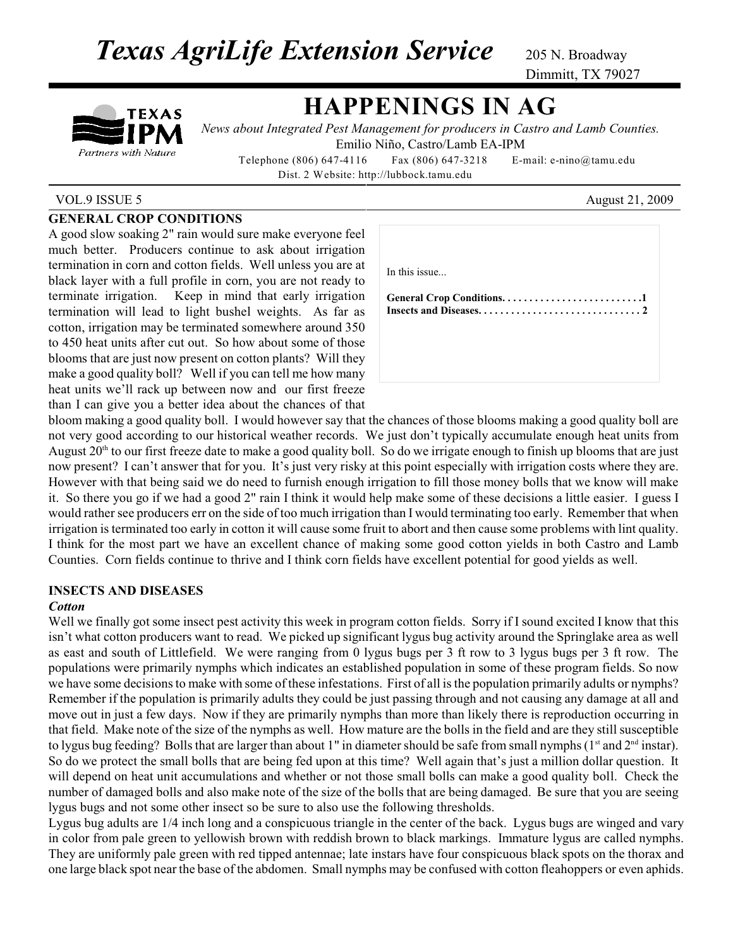**Texas AgriLife Extension Service** 205 N. Broadway

Dimmitt, TX 79027

# TEXAS Partners with Nature

## **HAPPENINGS IN AG**

*News about Integrated Pest Management for producers in Castro and Lamb Counties.* Emilio Niño, Castro/Lamb EA-IPM

Telephone (806) 647-4116 Fax (806) 647-3218 E-mail: e-nino@tamu.edu Dist. 2 Website: http://lubbock.tamu.edu

#### VOL.9 ISSUE 5 August 21, 2009

### **GENERAL CROP CONDITIONS**

A good slow soaking 2" rain would sure make everyone feel much better. Producers continue to ask about irrigation termination in corn and cotton fields. Well unless you are at black layer with a full profile in corn, you are not ready to terminate irrigation. Keep in mind that early irrigation termination will lead to light bushel weights. As far as cotton, irrigation may be terminated somewhere around 350 to 450 heat units after cut out. So how about some of those blooms that are just now present on cotton plants? Will they make a good quality boll? Well if you can tell me how many heat units we'll rack up between now and our first freeze than I can give you a better idea about the chances of that

| In this issue |
|---------------|
|               |
|               |
|               |
|               |

bloom making a good quality boll. I would however say that the chances of those blooms making a good quality boll are not very good according to our historical weather records. We just don't typically accumulate enough heat units from August  $20<sup>th</sup>$  to our first freeze date to make a good quality boll. So do we irrigate enough to finish up blooms that are just now present? I can't answer that for you. It's just very risky at this point especially with irrigation costs where they are. However with that being said we do need to furnish enough irrigation to fill those money bolls that we know will make it. So there you go if we had a good 2" rain I think it would help make some of these decisions a little easier. I guess I would rather see producers err on the side of too much irrigation than I would terminating too early. Remember that when irrigation is terminated too early in cotton it will cause some fruit to abort and then cause some problems with lint quality. I think for the most part we have an excellent chance of making some good cotton yields in both Castro and Lamb Counties. Corn fields continue to thrive and I think corn fields have excellent potential for good yields as well.

### **INSECTS AND DISEASES**

#### *Cotton*

Well we finally got some insect pest activity this week in program cotton fields. Sorry if I sound excited I know that this isn't what cotton producers want to read. We picked up significant lygus bug activity around the Springlake area as well as east and south of Littlefield. We were ranging from 0 lygus bugs per 3 ft row to 3 lygus bugs per 3 ft row. The populations were primarily nymphs which indicates an established population in some of these program fields. So now we have some decisions to make with some of these infestations. First of all is the population primarily adults or nymphs? Remember if the population is primarily adults they could be just passing through and not causing any damage at all and move out in just a few days. Now if they are primarily nymphs than more than likely there is reproduction occurring in that field. Make note of the size of the nymphs as well. How mature are the bolls in the field and are they still susceptible to lygus bug feeding? Bolls that are larger than about 1" in diameter should be safe from small nymphs ( $1<sup>st</sup>$  and  $2<sup>nd</sup>$  instar). So do we protect the small bolls that are being fed upon at this time? Well again that's just a million dollar question. It will depend on heat unit accumulations and whether or not those small bolls can make a good quality boll. Check the number of damaged bolls and also make note of the size of the bolls that are being damaged. Be sure that you are seeing lygus bugs and not some other insect so be sure to also use the following thresholds.

Lygus bug adults are 1/4 inch long and a conspicuous triangle in the center of the back. Lygus bugs are winged and vary in color from pale green to yellowish brown with reddish brown to black markings. Immature lygus are called nymphs. They are uniformly pale green with red tipped antennae; late instars have four conspicuous black spots on the thorax and one large black spot near the base of the abdomen. Small nymphs may be confused with cotton fleahoppers or even aphids.